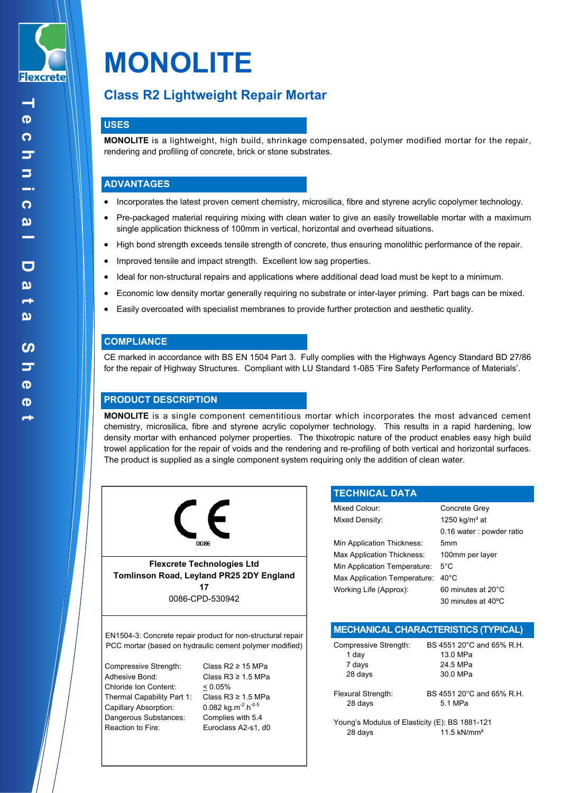

# **MONOLITE**

# **Class R2 Lightweight Repair Mortar**

# **USES**

**MONOLITE** is a lightweight, high build, shrinkage compensated, polymer modified mortar for the repair, rendering and profiling of concrete, brick or stone substrates.

# **ADVANTAGES**

- Incorporates the latest proven cement chemistry, microsilica, fibre and styrene acrylic copolymer technology.
- Pre-packaged material requiring mixing with clean water to give an easily trowellable mortar with a maximum single application thickness of 100mm in vertical, horizontal and overhead situations.
- High bond strength exceeds tensile strength of concrete, thus ensuring monolithic performance of the repair.
- Improved tensile and impact strength. Excellent low sag properties.
- Ideal for non-structural repairs and applications where additional dead load must be kept to a minimum.
- Economic low density mortar generally requiring no substrate or inter-layer priming. Part bags can be mixed.
- Easily overcoated with specialist membranes to provide further protection and aesthetic quality.

# **COMPLIANCE**

CE marked in accordance with BS EN 1504 Part 3. Fully complies with the Highways Agency Standard BD 27/86 for the repair of Highway Structures. Compliant with LU Standard 1-085 'Fire Safety Performance of Materials'.

# **PRODUCT DESCRIPTION**

**MONOLITE** is a single component cementitious mortar which incorporates the most advanced cement chemistry, microsilica, fibre and styrene acrylic copolymer technology. This results in a rapid hardening, low density mortar with enhanced polymer properties. The thixotropic nature of the product enables easy high build trowel application for the repair of voids and the rendering and re-profiling of both vertical and horizontal surfaces. The product is supplied as a single component system requiring only the addition of clean water.



**Flexcrete Technologies Ltd Tomlinson Road, Leyland PR25 2DY England 17** 0086-CPD-530942

EN1504-3: Concrete repair product for non-structural repair PCC mortar (based on hydraulic cement polymer modified)

Compressive Strength: Class R2 ≥ 15 MPa Adhesive Bond: Class R3 ≥ 1.5 MPa Chloride Ion Content: < 0.05% Thermal Capability Part 1: Class R3 ≥ 1.5 MPa Capillary Absorption: 0.082 kg.m<sup>-2</sup>.h<sup>-0.5</sup> Dangerous Substances: Complies with 5.4 Reaction to Fire: Euroclass A2-s1, d0

| <b>TECHNICAL DATA</b>        |                           |
|------------------------------|---------------------------|
| Mixed Colour:                | Concrete Grey             |
| Mixed Density:               | 1250 kg/m <sup>3</sup> at |
|                              | 0.16 water: powder ratio  |
| Min Application Thickness:   | 5mm                       |
| Max Application Thickness:   | 100mm per layer           |
| Min Application Temperature: | $5^{\circ}$ C             |
| Max Application Temperature: | $40^{\circ}$ C            |
| Working Life (Approx):       | 60 minutes at 20°C        |
|                              | 30 minutes at 40 °C       |
|                              |                           |

| MECHANICAL CHARACTERISTICS (TYPICAL) |  |
|--------------------------------------|--|
|--------------------------------------|--|

| Compressive Strength: | BS 4551 20°C and 65% R.H. |
|-----------------------|---------------------------|
| 1 day                 | 13.0 MPa                  |
| 7 days                | 24.5 MPa                  |
| 28 days               | 30.0 MPa                  |
| Flexural Strength:    | BS 4551 20°C and 65% R.H. |

28 days 5.1 MPa

Young's Modulus of Elasticity (E): BS 1881-121 28 days 11.5 kN/mm²